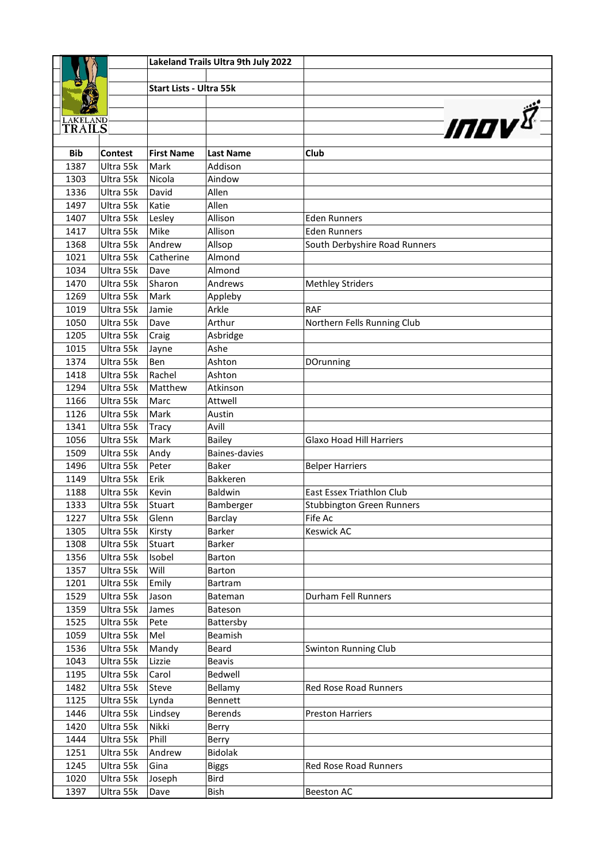|                           |                        |                                | Lakeland Trails Ultra 9th July 2022 |                                  |
|---------------------------|------------------------|--------------------------------|-------------------------------------|----------------------------------|
|                           |                        |                                |                                     |                                  |
|                           |                        | <b>Start Lists - Ultra 55k</b> |                                     |                                  |
|                           |                        |                                |                                     |                                  |
|                           |                        |                                |                                     |                                  |
| <b>LAKELAND</b><br>TRAILS |                        |                                |                                     | <b>INOV</b>                      |
|                           |                        |                                |                                     |                                  |
| <b>Bib</b>                | <b>Contest</b>         | <b>First Name</b>              | <b>Last Name</b>                    | Club                             |
| 1387                      | Ultra 55k              | Mark                           | Addison                             |                                  |
| 1303                      | Ultra 55k              | Nicola                         | Aindow                              |                                  |
| 1336                      | Ultra 55k              | David                          | Allen                               |                                  |
| 1497                      | Ultra 55k              | Katie                          | Allen                               |                                  |
| 1407                      | Ultra 55k              | Lesley                         | Allison                             | <b>Eden Runners</b>              |
| 1417                      | Ultra 55k              | Mike                           | Allison                             | <b>Eden Runners</b>              |
| 1368                      | Ultra 55k              | Andrew                         | Allsop                              | South Derbyshire Road Runners    |
| 1021                      | Ultra 55k              | Catherine                      | Almond                              |                                  |
| 1034                      | Ultra 55k              | Dave                           | Almond                              |                                  |
| 1470                      | Ultra 55k              | Sharon                         | Andrews                             | <b>Methley Striders</b>          |
| 1269                      | Ultra 55k              | Mark                           | Appleby                             |                                  |
| 1019                      | Ultra 55k              | Jamie                          | Arkle                               | <b>RAF</b>                       |
| 1050                      | Ultra 55k              | Dave                           | Arthur                              | Northern Fells Running Club      |
| 1205                      | Ultra 55k              | Craig                          | Asbridge                            |                                  |
| 1015                      | Ultra 55k              | Jayne                          | Ashe                                |                                  |
| 1374                      | Ultra 55k              | Ben                            | Ashton                              | DOrunning                        |
| 1418                      | Ultra 55k              | Rachel                         | Ashton                              |                                  |
| 1294                      | Ultra 55k              | Matthew                        | Atkinson                            |                                  |
| 1166<br>1126              | Ultra 55k              | Marc                           | Attwell                             |                                  |
| 1341                      | Ultra 55k<br>Ultra 55k | Mark                           | Austin<br>Avill                     |                                  |
| 1056                      | Ultra 55k              | Tracy<br>Mark                  | <b>Bailey</b>                       | <b>Glaxo Hoad Hill Harriers</b>  |
| 1509                      | Ultra 55k              | Andy                           | Baines-davies                       |                                  |
| 1496                      | Ultra 55k              | Peter                          | <b>Baker</b>                        | <b>Belper Harriers</b>           |
| 1149                      | Ultra 55k              | Erik                           | <b>Bakkeren</b>                     |                                  |
| 1188                      | Ultra 55k              | Kevin                          | Baldwin                             | <b>East Essex Triathlon Club</b> |
| 1333                      | Ultra 55k              | Stuart                         | Bamberger                           | <b>Stubbington Green Runners</b> |
| 1227                      | Ultra 55k              | Glenn                          | Barclay                             | Fife Ac                          |
| 1305                      | Ultra 55k              | Kirsty                         | Barker                              | Keswick AC                       |
| 1308                      | Ultra 55k              | Stuart                         | Barker                              |                                  |
| 1356                      | Ultra 55k              | Isobel                         | Barton                              |                                  |
| 1357                      | Ultra 55k              | Will                           | <b>Barton</b>                       |                                  |
| 1201                      | Ultra 55k              | Emily                          | Bartram                             |                                  |
| 1529                      | Ultra 55k              | Jason                          | Bateman                             | Durham Fell Runners              |
| 1359                      | Ultra 55k              | James                          | Bateson                             |                                  |
| 1525                      | Ultra 55k              | Pete                           | Battersby                           |                                  |
| 1059                      | Ultra 55k              | Mel                            | Beamish                             |                                  |
| 1536                      | Ultra 55k              | Mandy                          | Beard                               | <b>Swinton Running Club</b>      |
| 1043                      | Ultra 55k              | Lizzie                         | <b>Beavis</b>                       |                                  |
| 1195                      | Ultra 55k              | Carol                          | Bedwell                             |                                  |
| 1482                      | Ultra 55k              | Steve                          | Bellamy                             | Red Rose Road Runners            |
| 1125                      | Ultra 55k              | Lynda                          | Bennett                             |                                  |
| 1446                      | Ultra 55k              | Lindsey                        | <b>Berends</b>                      | <b>Preston Harriers</b>          |
| 1420                      | Ultra 55k              | Nikki                          | Berry                               |                                  |
| 1444                      | Ultra 55k              | Phill                          | Berry                               |                                  |
| 1251                      | Ultra 55k              | Andrew                         | <b>Bidolak</b>                      |                                  |
| 1245                      | Ultra 55k              | Gina                           | <b>Biggs</b>                        | Red Rose Road Runners            |
| 1020                      | Ultra 55k              | Joseph                         | <b>Bird</b>                         |                                  |
| 1397                      | Ultra 55k              | Dave                           | Bish                                | <b>Beeston AC</b>                |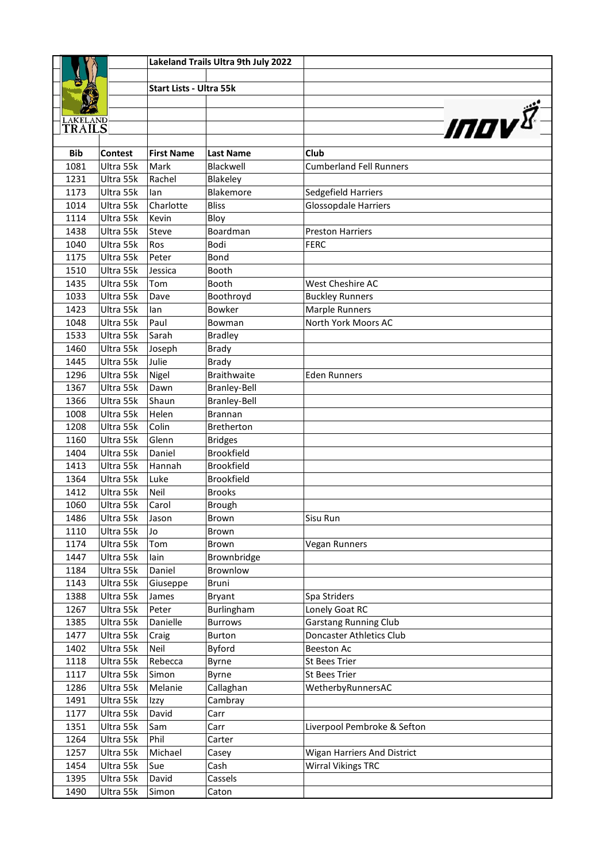|                 |                |                                | Lakeland Trails Ultra 9th July 2022 |                                |
|-----------------|----------------|--------------------------------|-------------------------------------|--------------------------------|
|                 |                |                                |                                     |                                |
|                 |                | <b>Start Lists - Ultra 55k</b> |                                     |                                |
|                 |                |                                |                                     |                                |
| <b>LAKELAND</b> |                |                                |                                     |                                |
| TRAILS          |                |                                |                                     | <b>INOV</b>                    |
| <b>Bib</b>      | <b>Contest</b> | <b>First Name</b>              | <b>Last Name</b>                    | Club                           |
| 1081            | Ultra 55k      | Mark                           | Blackwell                           | <b>Cumberland Fell Runners</b> |
| 1231            | Ultra 55k      | Rachel                         | Blakeley                            |                                |
| 1173            | Ultra 55k      | lan                            | Blakemore                           | Sedgefield Harriers            |
| 1014            | Ultra 55k      | Charlotte                      | <b>Bliss</b>                        | <b>Glossopdale Harriers</b>    |
| 1114            | Ultra 55k      | Kevin                          | Bloy                                |                                |
| 1438            | Ultra 55k      | Steve                          | Boardman                            | <b>Preston Harriers</b>        |
| 1040            | Ultra 55k      | Ros                            | Bodi                                | <b>FERC</b>                    |
| 1175            | Ultra 55k      | Peter                          | Bond                                |                                |
| 1510            | Ultra 55k      | Jessica                        | Booth                               |                                |
| 1435            | Ultra 55k      | Tom                            | Booth                               | West Cheshire AC               |
| 1033            | Ultra 55k      | Dave                           | Boothroyd                           | <b>Buckley Runners</b>         |
| 1423            | Ultra 55k      | lan                            | Bowker                              | <b>Marple Runners</b>          |
| 1048            | Ultra 55k      | Paul                           | Bowman                              | North York Moors AC            |
| 1533            | Ultra 55k      | Sarah                          | <b>Bradley</b>                      |                                |
| 1460            | Ultra 55k      | Joseph                         | <b>Brady</b>                        |                                |
| 1445            | Ultra 55k      | Julie                          | <b>Brady</b>                        |                                |
| 1296            | Ultra 55k      | Nigel                          | <b>Braithwaite</b>                  | <b>Eden Runners</b>            |
| 1367            | Ultra 55k      | Dawn                           | <b>Branley-Bell</b>                 |                                |
| 1366            | Ultra 55k      | Shaun                          | <b>Branley-Bell</b>                 |                                |
| 1008            | Ultra 55k      | Helen                          | <b>Brannan</b>                      |                                |
| 1208            | Ultra 55k      | Colin                          | Bretherton                          |                                |
| 1160            | Ultra 55k      | Glenn                          | <b>Bridges</b>                      |                                |
| 1404            | Ultra 55k      | Daniel                         | Brookfield                          |                                |
| 1413            | Ultra 55k      | Hannah                         | <b>Brookfield</b>                   |                                |
| 1364            | Ultra 55k      | Luke                           | <b>Brookfield</b>                   |                                |
| 1412            | Ultra 55k      | Neil                           | <b>Brooks</b>                       |                                |
| 1060            | Ultra 55k      | Carol                          | <b>Brough</b>                       |                                |
| 1486            | Ultra 55k      | Jason                          | Brown                               | Sisu Run                       |
| 1110            | Ultra 55k      | Jo                             | Brown                               |                                |
| 1174            | Ultra 55k      | Tom                            | Brown                               | Vegan Runners                  |
| 1447            | Ultra 55k      | lain                           | Brownbridge                         |                                |
| 1184            | Ultra 55k      | Daniel                         | Brownlow                            |                                |
| 1143            | Ultra 55k      | Giuseppe                       | Bruni                               |                                |
| 1388            | Ultra 55k      | James                          | <b>Bryant</b>                       | Spa Striders                   |
| 1267            | Ultra 55k      | Peter                          | Burlingham                          | Lonely Goat RC                 |
| 1385            | Ultra 55k      | Danielle                       | <b>Burrows</b>                      | <b>Garstang Running Club</b>   |
| 1477            | Ultra 55k      | Craig                          | <b>Burton</b>                       | Doncaster Athletics Club       |
| 1402            | Ultra 55k      | Neil                           | Byford                              | <b>Beeston Ac</b>              |
| 1118            | Ultra 55k      | Rebecca                        | Byrne                               | St Bees Trier                  |
| 1117            | Ultra 55k      | Simon                          | Byrne                               | St Bees Trier                  |
| 1286            | Ultra 55k      | Melanie                        | Callaghan                           | WetherbyRunnersAC              |
| 1491            | Ultra 55k      | Izzy                           | Cambray                             |                                |
| 1177            | Ultra 55k      | David                          | Carr                                |                                |
| 1351            | Ultra 55k      | Sam                            | Carr                                | Liverpool Pembroke & Sefton    |
| 1264            | Ultra 55k      | Phil                           | Carter                              |                                |
| 1257            | Ultra 55k      | Michael                        | Casey                               | Wigan Harriers And District    |
| 1454            | Ultra 55k      | Sue                            | Cash                                | <b>Wirral Vikings TRC</b>      |
| 1395            | Ultra 55k      | David                          | Cassels                             |                                |
| 1490            | Ultra 55k      | Simon                          | Caton                               |                                |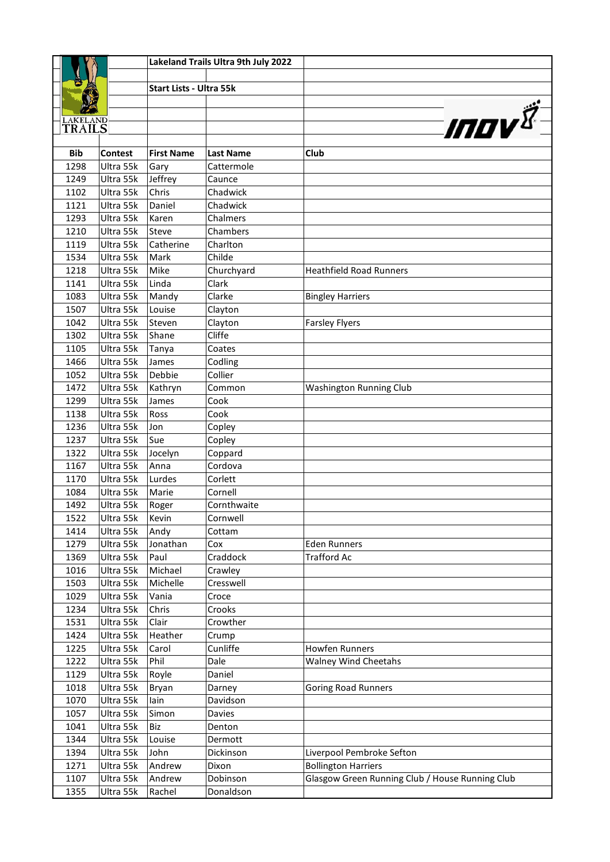|                           |                        |                                | Lakeland Trails Ultra 9th July 2022 |                                                 |
|---------------------------|------------------------|--------------------------------|-------------------------------------|-------------------------------------------------|
|                           |                        |                                |                                     |                                                 |
|                           |                        | <b>Start Lists - Ultra 55k</b> |                                     |                                                 |
|                           |                        |                                |                                     |                                                 |
|                           |                        |                                |                                     | <b>INDV</b>                                     |
| <b>LAKELAND</b><br>TRAILS |                        |                                |                                     |                                                 |
|                           |                        |                                |                                     |                                                 |
| <b>Bib</b>                | <b>Contest</b>         | <b>First Name</b>              | <b>Last Name</b>                    | Club                                            |
| 1298                      | Ultra 55k              | Gary                           | Cattermole                          |                                                 |
| 1249                      | Ultra 55k              | Jeffrey                        | Caunce                              |                                                 |
| 1102                      | Ultra 55k              | Chris                          | Chadwick                            |                                                 |
| 1121                      | Ultra 55k              | Daniel                         | Chadwick                            |                                                 |
| 1293                      | Ultra 55k              | Karen                          | Chalmers                            |                                                 |
| 1210                      | Ultra 55k              | Steve                          | Chambers                            |                                                 |
| 1119                      | Ultra 55k              | Catherine                      | Charlton                            |                                                 |
| 1534                      | Ultra 55k              | Mark                           | Childe                              |                                                 |
| 1218                      | Ultra 55k              | Mike                           | Churchyard                          | <b>Heathfield Road Runners</b>                  |
| 1141                      | Ultra 55k              | Linda                          | Clark                               |                                                 |
| 1083                      | Ultra 55k              | Mandy                          | Clarke                              | <b>Bingley Harriers</b>                         |
| 1507                      | Ultra 55k              | Louise                         | Clayton                             |                                                 |
| 1042                      | Ultra 55k              | Steven                         | Clayton                             | <b>Farsley Flyers</b>                           |
| 1302                      | Ultra 55k              | Shane                          | Cliffe                              |                                                 |
| 1105                      | Ultra 55k              | Tanya                          | Coates                              |                                                 |
| 1466                      | Ultra 55k              | James                          | Codling                             |                                                 |
| 1052                      | Ultra 55k              | Debbie                         | Collier                             |                                                 |
| 1472                      | Ultra 55k              | Kathryn                        | Common                              | Washington Running Club                         |
| 1299                      | Ultra 55k              | James                          | Cook                                |                                                 |
| 1138                      | Ultra 55k              | Ross                           | Cook                                |                                                 |
| 1236                      | Ultra 55k              | Jon                            | Copley                              |                                                 |
| 1237                      | Ultra 55k              | Sue                            | Copley                              |                                                 |
| 1322                      | Ultra 55k              | Jocelyn                        | Coppard                             |                                                 |
| 1167                      | Ultra 55k              | Anna                           | Cordova                             |                                                 |
| 1170                      | Ultra 55k              | Lurdes                         | Corlett                             |                                                 |
| 1084                      | Ultra 55k              | Marie                          | Cornell                             |                                                 |
| 1492                      | Ultra 55k              | Roger                          | Cornthwaite                         |                                                 |
| 1522                      | Ultra 55k              | Kevin                          | Cornwell                            |                                                 |
| 1414<br>1279              | Ultra 55k<br>Ultra 55k | Andy<br>Jonathan               | Cottam<br>Cox                       | <b>Eden Runners</b>                             |
| 1369                      |                        | Paul                           | Craddock                            | <b>Trafford Ac</b>                              |
| 1016                      | Ultra 55k<br>Ultra 55k | Michael                        |                                     |                                                 |
| 1503                      | Ultra 55k              | Michelle                       | Crawley<br>Cresswell                |                                                 |
| 1029                      | Ultra 55k              | Vania                          | Croce                               |                                                 |
| 1234                      | Ultra 55k              | Chris                          | Crooks                              |                                                 |
| 1531                      | Ultra 55k              | Clair                          | Crowther                            |                                                 |
| 1424                      | Ultra 55k              | Heather                        | Crump                               |                                                 |
| 1225                      | Ultra 55k              | Carol                          | Cunliffe                            | <b>Howfen Runners</b>                           |
| 1222                      | Ultra 55k              | Phil                           | Dale                                | Walney Wind Cheetahs                            |
| 1129                      | Ultra 55k              | Royle                          | Daniel                              |                                                 |
| 1018                      | Ultra 55k              | Bryan                          | Darney                              | <b>Goring Road Runners</b>                      |
| 1070                      | Ultra 55k              | lain                           | Davidson                            |                                                 |
| 1057                      | Ultra 55k              | Simon                          | Davies                              |                                                 |
| 1041                      | Ultra 55k              | Biz                            | Denton                              |                                                 |
| 1344                      | Ultra 55k              | Louise                         | Dermott                             |                                                 |
| 1394                      | Ultra 55k              | John                           | Dickinson                           | Liverpool Pembroke Sefton                       |
| 1271                      | Ultra 55k              | Andrew                         | Dixon                               | <b>Bollington Harriers</b>                      |
| 1107                      | Ultra 55k              | Andrew                         | Dobinson                            | Glasgow Green Running Club / House Running Club |
| 1355                      | Ultra 55k              | Rachel                         | Donaldson                           |                                                 |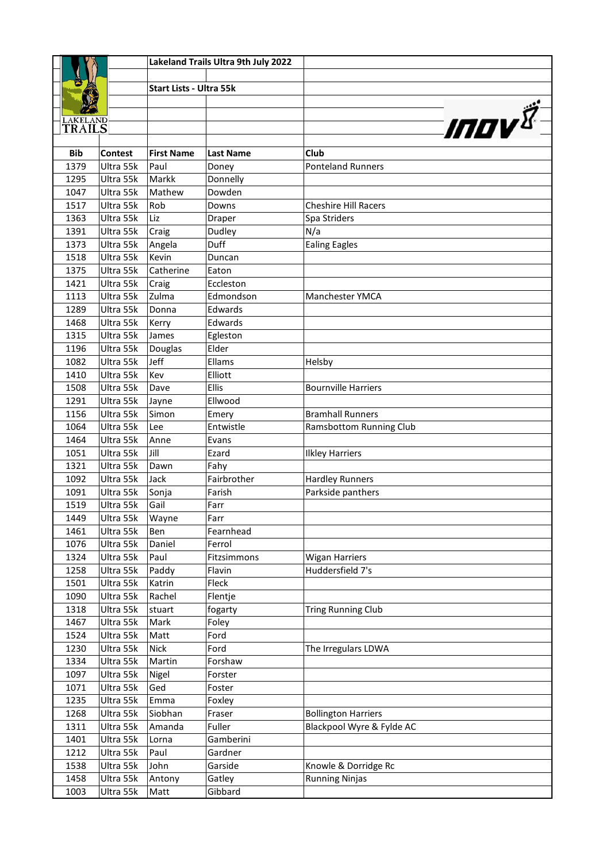|                           |                        |                                | Lakeland Trails Ultra 9th July 2022 |                             |
|---------------------------|------------------------|--------------------------------|-------------------------------------|-----------------------------|
|                           |                        |                                |                                     |                             |
|                           |                        | <b>Start Lists - Ultra 55k</b> |                                     |                             |
|                           |                        |                                |                                     |                             |
|                           |                        |                                |                                     | <b>INOV</b>                 |
| <b>LAKELAND</b><br>TRAILS |                        |                                |                                     |                             |
|                           |                        |                                |                                     |                             |
| <b>Bib</b>                | <b>Contest</b>         | <b>First Name</b>              | <b>Last Name</b>                    | Club                        |
| 1379                      | Ultra 55k              | Paul                           | Doney                               | <b>Ponteland Runners</b>    |
| 1295                      | Ultra 55k              | Markk                          | Donnelly                            |                             |
| 1047                      | Ultra 55k              | Mathew                         | Dowden                              |                             |
| 1517                      | Ultra 55k              | Rob                            | Downs                               | <b>Cheshire Hill Racers</b> |
| 1363                      | Ultra 55k              | Liz                            | Draper                              | Spa Striders                |
| 1391                      | Ultra 55k              | Craig                          | Dudley                              | N/a                         |
| 1373                      | Ultra 55k              | Angela                         | Duff                                | <b>Ealing Eagles</b>        |
| 1518                      | Ultra 55k              | Kevin                          | Duncan                              |                             |
| 1375                      | Ultra 55k              | Catherine                      | Eaton                               |                             |
| 1421                      | Ultra 55k              | Craig                          | Eccleston                           |                             |
| 1113                      | Ultra 55k              | Zulma                          | Edmondson                           | <b>Manchester YMCA</b>      |
| 1289                      | Ultra 55k              | Donna                          | Edwards                             |                             |
| 1468                      | Ultra 55k              | Kerry                          | Edwards                             |                             |
| 1315                      | Ultra 55k              | James                          | Egleston                            |                             |
| 1196                      | Ultra 55k              | Douglas<br>Jeff                | Elder                               |                             |
| 1082<br>1410              | Ultra 55k              | Kev                            | Ellams<br>Elliott                   | Helsby                      |
|                           | Ultra 55k              |                                | Ellis                               | <b>Bournville Harriers</b>  |
| 1508<br>1291              | Ultra 55k<br>Ultra 55k | Dave                           | Ellwood                             |                             |
| 1156                      | Ultra 55k              | Jayne<br>Simon                 |                                     | <b>Bramhall Runners</b>     |
| 1064                      | Ultra 55k              | Lee                            | Emery<br>Entwistle                  | Ramsbottom Running Club     |
| 1464                      | Ultra 55k              | Anne                           | Evans                               |                             |
| 1051                      | Ultra 55k              | Jill                           | Ezard                               | <b>Ilkley Harriers</b>      |
| 1321                      | Ultra 55k              | Dawn                           | Fahy                                |                             |
| 1092                      | Ultra 55k              | Jack                           | Fairbrother                         | <b>Hardley Runners</b>      |
| 1091                      | Ultra 55k              | Sonja                          | Farish                              | Parkside panthers           |
| 1519                      | Ultra 55k              | Gail                           | Farr                                |                             |
| 1449                      | Ultra 55k              | Wayne                          | Farr                                |                             |
| 1461                      | Ultra 55k              | Ben                            | Fearnhead                           |                             |
| 1076                      | Ultra 55k              | Daniel                         | Ferrol                              |                             |
| 1324                      | Ultra 55k              | Paul                           | Fitzsimmons                         | <b>Wigan Harriers</b>       |
| 1258                      | Ultra 55k              | Paddy                          | Flavin                              | Huddersfield 7's            |
| 1501                      | Ultra 55k              | Katrin                         | Fleck                               |                             |
| 1090                      | Ultra 55k              | Rachel                         | Flentje                             |                             |
| 1318                      | Ultra 55k              | stuart                         | fogarty                             | <b>Tring Running Club</b>   |
| 1467                      | Ultra 55k              | Mark                           | Foley                               |                             |
| 1524                      | Ultra 55k              | Matt                           | Ford                                |                             |
| 1230                      | Ultra 55k              | <b>Nick</b>                    | Ford                                | The Irregulars LDWA         |
| 1334                      | Ultra 55k              | Martin                         | Forshaw                             |                             |
| 1097                      | Ultra 55k              | Nigel                          | Forster                             |                             |
| 1071                      | Ultra 55k              | Ged                            | Foster                              |                             |
| 1235                      | Ultra 55k              | Emma                           | Foxley                              |                             |
| 1268                      | Ultra 55k              | Siobhan                        | Fraser                              | <b>Bollington Harriers</b>  |
| 1311                      | Ultra 55k              | Amanda                         | Fuller                              | Blackpool Wyre & Fylde AC   |
| 1401                      | Ultra 55k              | Lorna                          | Gamberini                           |                             |
| 1212                      | Ultra 55k              | Paul                           | Gardner                             |                             |
| 1538                      | Ultra 55k              | John                           | Garside                             | Knowle & Dorridge Rc        |
| 1458                      | Ultra 55k              | Antony                         | Gatley                              | <b>Running Ninjas</b>       |
| 1003                      | Ultra 55k              | Matt                           | Gibbard                             |                             |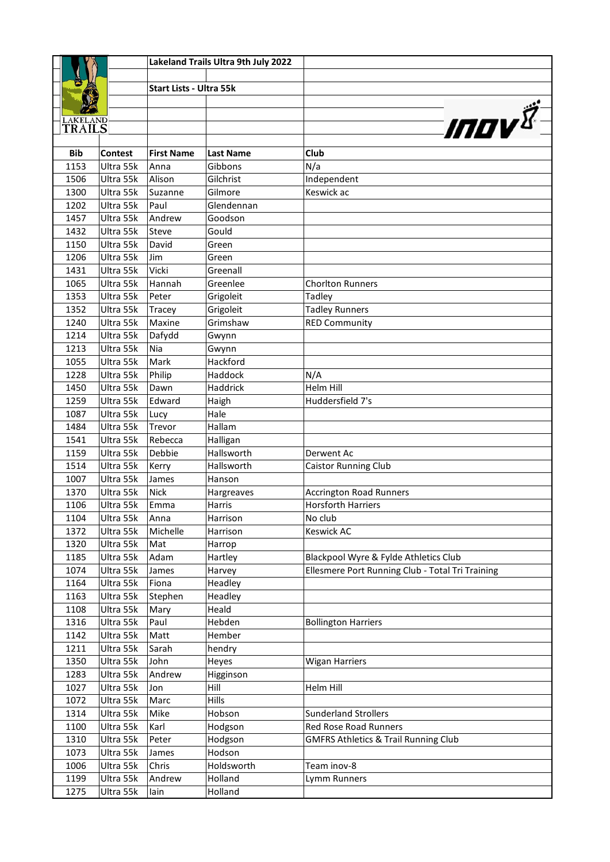|                           |                        |                                | Lakeland Trails Ultra 9th July 2022 |                                                  |
|---------------------------|------------------------|--------------------------------|-------------------------------------|--------------------------------------------------|
|                           |                        |                                |                                     |                                                  |
|                           |                        | <b>Start Lists - Ultra 55k</b> |                                     |                                                  |
|                           |                        |                                |                                     |                                                  |
|                           |                        |                                |                                     |                                                  |
| <b>LAKELAND</b><br>TRAILS |                        |                                |                                     | <b>INOV</b>                                      |
|                           |                        |                                |                                     |                                                  |
| <b>Bib</b>                | <b>Contest</b>         | <b>First Name</b>              | <b>Last Name</b>                    | Club                                             |
| 1153                      | Ultra 55k              | Anna                           | Gibbons                             | N/a                                              |
| 1506                      | Ultra 55k              | Alison                         | Gilchrist                           | Independent                                      |
| 1300                      | Ultra 55k              | Suzanne                        | Gilmore                             | Keswick ac                                       |
| 1202                      | Ultra 55k              | Paul                           | Glendennan                          |                                                  |
| 1457                      | Ultra 55k              | Andrew                         | Goodson                             |                                                  |
| 1432                      | Ultra 55k              | Steve                          | Gould                               |                                                  |
| 1150                      | Ultra 55k              | David                          | Green                               |                                                  |
| 1206                      | Ultra 55k              | Jim                            | Green                               |                                                  |
| 1431                      | Ultra 55k              | Vicki                          | Greenall                            |                                                  |
| 1065                      | Ultra 55k              | Hannah                         | Greenlee                            | <b>Chorlton Runners</b>                          |
| 1353                      | Ultra 55k              | Peter                          | Grigoleit                           | Tadley                                           |
| 1352                      | Ultra 55k              | Tracey                         | Grigoleit                           | <b>Tadley Runners</b>                            |
| 1240                      | Ultra 55k              | Maxine                         | Grimshaw                            | <b>RED Community</b>                             |
| 1214                      | Ultra 55k              | Dafydd                         | Gwynn                               |                                                  |
| 1213                      | Ultra 55k              | Nia                            | Gwynn                               |                                                  |
| 1055                      | Ultra 55k              | Mark                           | Hackford                            |                                                  |
| 1228                      | Ultra 55k              | Philip                         | Haddock                             | N/A                                              |
| 1450                      | Ultra 55k              | Dawn                           | Haddrick                            | <b>Helm Hill</b>                                 |
| 1259                      | Ultra 55k              | Edward                         | Haigh                               | Huddersfield 7's                                 |
| 1087                      | Ultra 55k              | Lucy                           | Hale                                |                                                  |
| 1484                      | Ultra 55k              | Trevor                         | Hallam                              |                                                  |
| 1541                      | Ultra 55k              | Rebecca                        | Halligan                            |                                                  |
| 1159                      | Ultra 55k              | Debbie                         | Hallsworth                          | Derwent Ac                                       |
| 1514                      | Ultra 55k              | Kerry                          | Hallsworth                          | <b>Caistor Running Club</b>                      |
| 1007                      | Ultra 55k              | James                          | Hanson                              |                                                  |
| 1370                      | Ultra 55k              | <b>Nick</b>                    | Hargreaves                          | <b>Accrington Road Runners</b>                   |
| 1106                      | Ultra 55k              | Emma                           | Harris                              | <b>Horsforth Harriers</b>                        |
| 1104                      | Ultra 55k              | Anna                           | Harrison                            | No club                                          |
| 1372                      | Ultra 55k              | Michelle                       | Harrison                            | <b>Keswick AC</b>                                |
| 1320                      | Ultra 55k              | Mat                            | Harrop                              |                                                  |
| 1185                      | Ultra 55k              | Adam                           | Hartley                             | Blackpool Wyre & Fylde Athletics Club            |
| 1074                      | Ultra 55k              | James                          | Harvey                              | Ellesmere Port Running Club - Total Tri Training |
| 1164<br>1163              | Ultra 55k              | Fiona                          | Headley                             |                                                  |
| 1108                      | Ultra 55k<br>Ultra 55k | Stephen<br>Mary                | Headley<br>Heald                    |                                                  |
| 1316                      | Ultra 55k              | Paul                           | Hebden                              | <b>Bollington Harriers</b>                       |
| 1142                      | Ultra 55k              | Matt                           | Hember                              |                                                  |
| 1211                      | Ultra 55k              | Sarah                          | hendry                              |                                                  |
| 1350                      | Ultra 55k              | John                           | Heyes                               | <b>Wigan Harriers</b>                            |
| 1283                      | Ultra 55k              | Andrew                         | Higginson                           |                                                  |
| 1027                      | Ultra 55k              | Jon                            | Hill                                | Helm Hill                                        |
| 1072                      | Ultra 55k              | Marc                           | Hills                               |                                                  |
| 1314                      | Ultra 55k              | Mike                           | Hobson                              | <b>Sunderland Strollers</b>                      |
| 1100                      | Ultra 55k              | Karl                           | Hodgson                             | Red Rose Road Runners                            |
| 1310                      | Ultra 55k              | Peter                          | Hodgson                             | <b>GMFRS Athletics &amp; Trail Running Club</b>  |
| 1073                      | Ultra 55k              | James                          | Hodson                              |                                                  |
| 1006                      | Ultra 55k              | Chris                          | Holdsworth                          | Team inov-8                                      |
| 1199                      | Ultra 55k              | Andrew                         | Holland                             | Lymm Runners                                     |
| 1275                      | Ultra 55k              | lain                           | Holland                             |                                                  |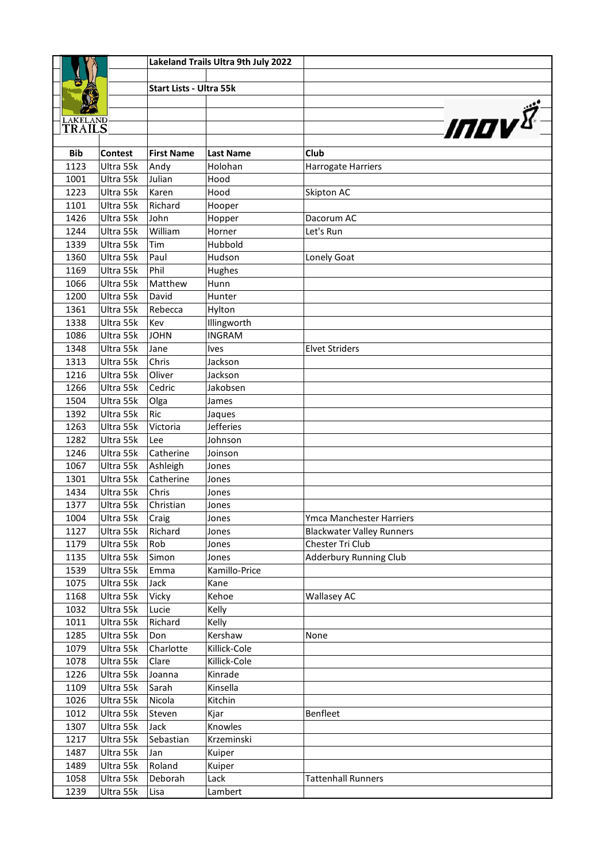|                                  |                        |                                | Lakeland Trails Ultra 9th July 2022 |                                  |
|----------------------------------|------------------------|--------------------------------|-------------------------------------|----------------------------------|
|                                  |                        |                                |                                     |                                  |
|                                  |                        | <b>Start Lists - Ultra 55k</b> |                                     |                                  |
|                                  |                        |                                |                                     |                                  |
|                                  |                        |                                |                                     |                                  |
| <b>LAKELAND</b><br><b>TRAILS</b> |                        |                                |                                     | <b>INOV</b>                      |
|                                  |                        |                                |                                     |                                  |
| <b>Bib</b>                       | <b>Contest</b>         | <b>First Name</b>              | <b>Last Name</b>                    | Club                             |
| 1123                             | Ultra 55k              | Andy                           | Holohan                             | Harrogate Harriers               |
| 1001                             | Ultra 55k              | Julian                         | Hood                                |                                  |
| 1223                             | Ultra 55k              | Karen                          | Hood                                | Skipton AC                       |
| 1101                             | Ultra 55k              | Richard                        | Hooper                              |                                  |
| 1426                             | Ultra 55k              | John                           | Hopper                              | Dacorum AC                       |
| 1244                             | Ultra 55k              | William                        | Horner                              | Let's Run                        |
| 1339                             | Ultra 55k              | Tim                            | Hubbold                             |                                  |
| 1360                             | Ultra 55k              | Paul                           | Hudson                              | Lonely Goat                      |
| 1169                             | Ultra 55k              | Phil                           | Hughes                              |                                  |
| 1066                             | Ultra 55k              | Matthew                        | Hunn                                |                                  |
| 1200                             | Ultra 55k              | David                          | Hunter                              |                                  |
| 1361                             | Ultra 55k              | Rebecca                        | Hylton                              |                                  |
| 1338                             | Ultra 55k              | Kev                            | Illingworth                         |                                  |
| 1086                             | Ultra 55k              | <b>JOHN</b>                    | <b>INGRAM</b>                       |                                  |
| 1348                             | Ultra 55k              | Jane                           | <b>Ives</b>                         | <b>Elvet Striders</b>            |
| 1313                             | Ultra 55k              | Chris                          | Jackson                             |                                  |
| 1216                             | Ultra 55k              | Oliver                         | Jackson                             |                                  |
| 1266                             | Ultra 55k              | Cedric                         | Jakobsen                            |                                  |
| 1504                             | Ultra 55k              | Olga                           | James                               |                                  |
| 1392                             | Ultra 55k              | <b>Ric</b>                     | Jaques                              |                                  |
| 1263                             | Ultra 55k              | Victoria                       | <b>Jefferies</b>                    |                                  |
| 1282                             | Ultra 55k              | Lee                            | Johnson                             |                                  |
| 1246                             | Ultra 55k              | Catherine                      | Joinson                             |                                  |
| 1067<br>1301                     | Ultra 55k<br>Ultra 55k | Ashleigh<br>Catherine          | Jones                               |                                  |
| 1434                             | Ultra 55k              | Chris                          | Jones                               |                                  |
| 1377                             | Ultra 55k              | Christian                      | Jones<br>Jones                      |                                  |
| 1004                             | Ultra 55k              |                                | Jones                               | Ymca Manchester Harriers         |
| 1127                             | Ultra 55k              | Craig<br>Richard               | Jones                               | <b>Blackwater Valley Runners</b> |
| 1179                             | Ultra 55k              | Rob                            | Jones                               | Chester Tri Club                 |
| 1135                             | Ultra 55k              | Simon                          | Jones                               | <b>Adderbury Running Club</b>    |
| 1539                             | Ultra 55k              | Emma                           | Kamillo-Price                       |                                  |
| 1075                             | Ultra 55k              | Jack                           | Kane                                |                                  |
| 1168                             | Ultra 55k              | Vicky                          | Kehoe                               | <b>Wallasey AC</b>               |
| 1032                             | Ultra 55k              | Lucie                          | Kelly                               |                                  |
| 1011                             | Ultra 55k              | Richard                        | Kelly                               |                                  |
| 1285                             | Ultra 55k              | Don                            | Kershaw                             | None                             |
| 1079                             | Ultra 55k              | Charlotte                      | Killick-Cole                        |                                  |
| 1078                             | Ultra 55k              | Clare                          | Killick-Cole                        |                                  |
| 1226                             | Ultra 55k              | Joanna                         | Kinrade                             |                                  |
| 1109                             | Ultra 55k              | Sarah                          | Kinsella                            |                                  |
| 1026                             | Ultra 55k              | Nicola                         | Kitchin                             |                                  |
| 1012                             | Ultra 55k              | Steven                         | Kjar                                | Benfleet                         |
| 1307                             | Ultra 55k              | Jack                           | Knowles                             |                                  |
| 1217                             | Ultra 55k              | Sebastian                      | Krzeminski                          |                                  |
| 1487                             | Ultra 55k              | Jan                            | Kuiper                              |                                  |
| 1489                             | Ultra 55k              | Roland                         | Kuiper                              |                                  |
| 1058                             | Ultra 55k              | Deborah                        | Lack                                | <b>Tattenhall Runners</b>        |
| 1239                             | Ultra 55k              | Lisa                           | Lambert                             |                                  |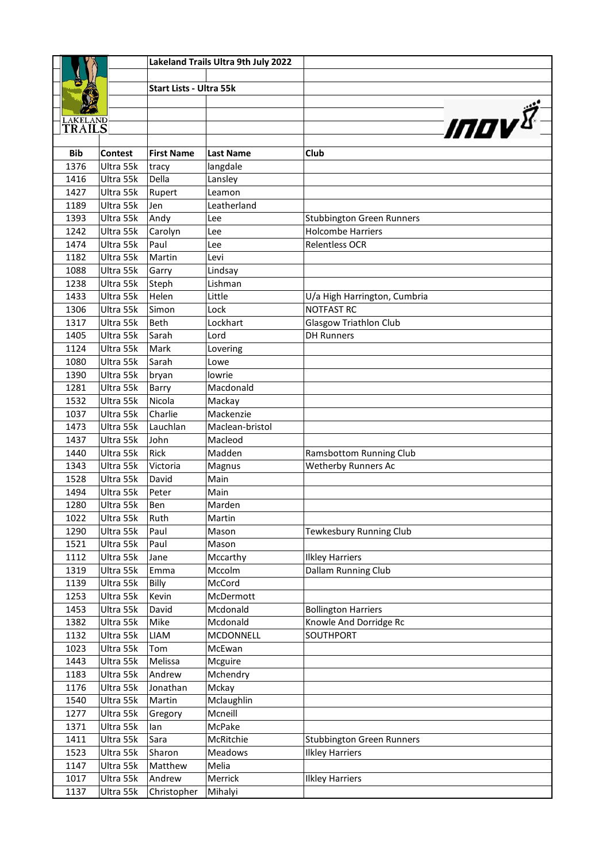|                 |                        |                                | Lakeland Trails Ultra 9th July 2022 |                                  |
|-----------------|------------------------|--------------------------------|-------------------------------------|----------------------------------|
|                 |                        |                                |                                     |                                  |
|                 |                        | <b>Start Lists - Ultra 55k</b> |                                     |                                  |
|                 |                        |                                |                                     |                                  |
| <b>LAKELAND</b> |                        |                                |                                     |                                  |
| TRAILS          |                        |                                |                                     | <i>INOV<sup>I</sup></i>          |
|                 |                        |                                |                                     |                                  |
| <b>Bib</b>      | <b>Contest</b>         | <b>First Name</b>              | <b>Last Name</b>                    | Club                             |
| 1376            | Ultra 55k              | tracy                          | langdale                            |                                  |
| 1416            | Ultra 55k              | Della                          | Lansley                             |                                  |
| 1427            | Ultra 55k              | Rupert                         | Leamon                              |                                  |
| 1189            | Ultra 55k              | Jen                            | Leatherland                         |                                  |
| 1393            | Ultra 55k              | Andy                           | Lee                                 | <b>Stubbington Green Runners</b> |
| 1242            | Ultra 55k              | Carolyn                        | Lee                                 | Holcombe Harriers                |
| 1474            | Ultra 55k              | Paul                           | Lee                                 | Relentless OCR                   |
| 1182            | Ultra 55k              | Martin                         | Levi                                |                                  |
| 1088            | Ultra 55k              | Garry                          | Lindsay                             |                                  |
| 1238            | Ultra 55k              | Steph                          | Lishman                             |                                  |
| 1433            | Ultra 55k              | Helen                          | Little                              | U/a High Harrington, Cumbria     |
| 1306            | Ultra 55k              | Simon                          | Lock                                | <b>NOTFAST RC</b>                |
| 1317            | Ultra 55k              | <b>Beth</b>                    | Lockhart                            | <b>Glasgow Triathlon Club</b>    |
| 1405<br>1124    | Ultra 55k<br>Ultra 55k | Sarah<br>Mark                  | Lord                                | <b>DH Runners</b>                |
| 1080            | Ultra 55k              | Sarah                          | Lovering                            |                                  |
| 1390            | Ultra 55k              | bryan                          | Lowe<br>lowrie                      |                                  |
| 1281            | Ultra 55k              | Barry                          | Macdonald                           |                                  |
| 1532            | Ultra 55k              | Nicola                         | Mackay                              |                                  |
| 1037            | Ultra 55k              | Charlie                        | Mackenzie                           |                                  |
| 1473            | Ultra 55k              | Lauchlan                       | Maclean-bristol                     |                                  |
| 1437            | Ultra 55k              | John                           | Macleod                             |                                  |
| 1440            | Ultra 55k              | Rick                           | Madden                              | Ramsbottom Running Club          |
| 1343            | Ultra 55k              | Victoria                       | Magnus                              | Wetherby Runners Ac              |
| 1528            | Ultra 55k              | David                          | Main                                |                                  |
| 1494            | Ultra 55k              | Peter                          | Main                                |                                  |
| 1280            | Ultra 55k              | Ben                            | Marden                              |                                  |
| 1022            | Ultra 55k              | Ruth                           | Martin                              |                                  |
| 1290            | Ultra 55k              | Paul                           | Mason                               | Tewkesbury Running Club          |
| 1521            | Ultra 55k              | Paul                           | Mason                               |                                  |
| 1112            | Ultra 55k              | Jane                           | Mccarthy                            | <b>Ilkley Harriers</b>           |
| 1319            | Ultra 55k              | Emma                           | Mccolm                              | Dallam Running Club              |
| 1139            | Ultra 55k              | Billy                          | McCord                              |                                  |
| 1253            | Ultra 55k              | Kevin                          | McDermott                           |                                  |
| 1453            | Ultra 55k              | David                          | Mcdonald                            | <b>Bollington Harriers</b>       |
| 1382            | Ultra 55k              | Mike                           | Mcdonald                            | Knowle And Dorridge Rc           |
| 1132            | Ultra 55k              | LIAM                           | MCDONNELL                           | SOUTHPORT                        |
| 1023            | Ultra 55k              | Tom                            | McEwan                              |                                  |
| 1443            | Ultra 55k              | Melissa                        | Mcguire                             |                                  |
| 1183            | Ultra 55k              | Andrew                         | Mchendry                            |                                  |
| 1176            | Ultra 55k              | Jonathan                       | Mckay                               |                                  |
| 1540            | Ultra 55k              | Martin                         | Mclaughlin                          |                                  |
| 1277            | Ultra 55k              | Gregory                        | Mcneill                             |                                  |
| 1371            | Ultra 55k              | lan                            | McPake                              |                                  |
| 1411            | Ultra 55k              | Sara                           | McRitchie                           | <b>Stubbington Green Runners</b> |
| 1523            | Ultra 55k              | Sharon                         | Meadows                             | <b>Ilkley Harriers</b>           |
| 1147<br>1017    | Ultra 55k              | Matthew                        | Melia                               |                                  |
|                 | Ultra 55k              | Andrew                         | Merrick                             | <b>Ilkley Harriers</b>           |
| 1137            | Ultra 55k              | Christopher                    | Mihalyi                             |                                  |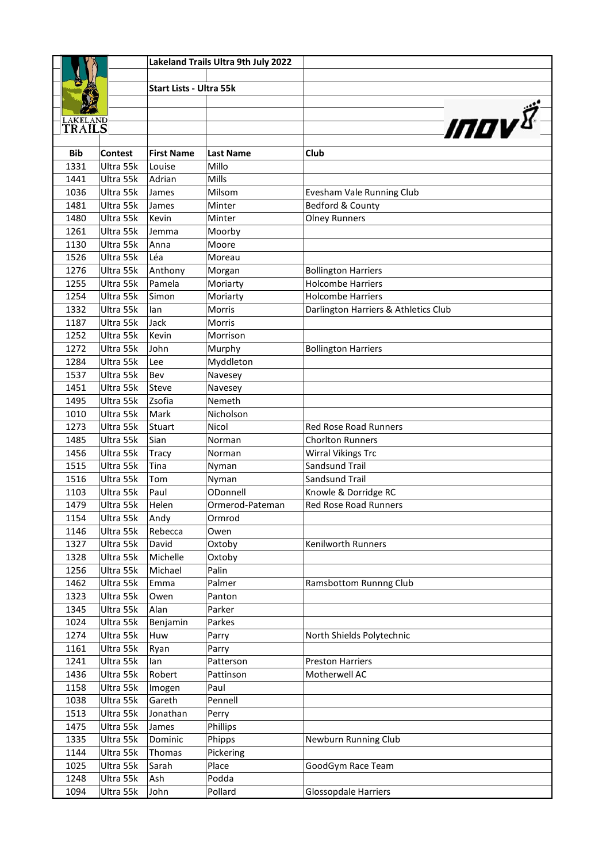|                           |                        |                                | Lakeland Trails Ultra 9th July 2022 |                                      |
|---------------------------|------------------------|--------------------------------|-------------------------------------|--------------------------------------|
|                           |                        |                                |                                     |                                      |
|                           |                        | <b>Start Lists - Ultra 55k</b> |                                     |                                      |
|                           |                        |                                |                                     |                                      |
|                           |                        |                                |                                     |                                      |
| <b>LAKELAND</b><br>TRAILS |                        |                                |                                     | <b>INOV</b>                          |
|                           |                        |                                |                                     |                                      |
| <b>Bib</b>                | <b>Contest</b>         | <b>First Name</b>              | <b>Last Name</b>                    | Club                                 |
| 1331                      | Ultra 55k              | Louise                         | Millo                               |                                      |
| 1441                      | Ultra 55k              | Adrian                         | Mills                               |                                      |
| 1036                      | Ultra 55k              | James                          | Milsom                              | Evesham Vale Running Club            |
| 1481                      | Ultra 55k              | James                          | Minter                              | Bedford & County                     |
| 1480                      | Ultra 55k              | Kevin                          | Minter                              | <b>Olney Runners</b>                 |
| 1261                      | Ultra 55k              | Jemma                          | Moorby                              |                                      |
| 1130                      | Ultra 55k              | Anna                           | Moore                               |                                      |
| 1526                      | Ultra 55k              | Léa                            | Moreau                              |                                      |
| 1276                      | Ultra 55k              | Anthony                        | Morgan                              | <b>Bollington Harriers</b>           |
| 1255                      | Ultra 55k              | Pamela                         | Moriarty                            | <b>Holcombe Harriers</b>             |
| 1254                      | Ultra 55k              | Simon                          | Moriarty                            | <b>Holcombe Harriers</b>             |
| 1332                      | Ultra 55k              | lan                            | Morris                              | Darlington Harriers & Athletics Club |
| 1187<br>1252              | Ultra 55k<br>Ultra 55k | Jack<br>Kevin                  | Morris<br>Morrison                  |                                      |
| 1272                      | Ultra 55k              |                                |                                     |                                      |
| 1284                      | Ultra 55k              | John<br>Lee                    | Murphy                              | <b>Bollington Harriers</b>           |
| 1537                      | Ultra 55k              | Bev                            | Myddleton                           |                                      |
| 1451                      | Ultra 55k              | Steve                          | Navesey<br>Navesey                  |                                      |
| 1495                      | Ultra 55k              | Zsofia                         | Nemeth                              |                                      |
| 1010                      | Ultra 55k              | Mark                           | Nicholson                           |                                      |
| 1273                      | Ultra 55k              | Stuart                         | Nicol                               | <b>Red Rose Road Runners</b>         |
| 1485                      | Ultra 55k              | Sian                           | Norman                              | <b>Chorlton Runners</b>              |
| 1456                      | Ultra 55k              | Tracy                          | Norman                              | <b>Wirral Vikings Trc</b>            |
| 1515                      | Ultra 55k              | Tina                           | Nyman                               | <b>Sandsund Trail</b>                |
| 1516                      | Ultra 55k              | Tom                            | Nyman                               | <b>Sandsund Trail</b>                |
| 1103                      | Ultra 55k              | Paul                           | ODonnell                            | Knowle & Dorridge RC                 |
| 1479                      | Ultra 55k              | Helen                          | Ormerod-Pateman                     | <b>Red Rose Road Runners</b>         |
| 1154                      | Ultra 55k              | Andy                           | Ormrod                              |                                      |
| 1146                      | Ultra 55k              | Rebecca                        | Owen                                |                                      |
| 1327                      | Ultra 55k              | David                          | Oxtoby                              | Kenilworth Runners                   |
| 1328                      | Ultra 55k              | Michelle                       | Oxtoby                              |                                      |
| 1256                      | Ultra 55k              | Michael                        | Palin                               |                                      |
| 1462                      | Ultra 55k              | Emma                           | Palmer                              | Ramsbottom Runnng Club               |
| 1323                      | Ultra 55k              | Owen                           | Panton                              |                                      |
| 1345                      | Ultra 55k              | Alan                           | Parker                              |                                      |
| 1024                      | Ultra 55k              | Benjamin                       | Parkes                              |                                      |
| 1274                      | Ultra 55k              | Huw                            | Parry                               | North Shields Polytechnic            |
| 1161                      | Ultra 55k              | Ryan                           | Parry                               |                                      |
| 1241                      | Ultra 55k              | lan                            | Patterson                           | <b>Preston Harriers</b>              |
| 1436                      | Ultra 55k              | Robert                         | Pattinson                           | Motherwell AC                        |
| 1158                      | Ultra 55k              | Imogen                         | Paul                                |                                      |
| 1038                      | Ultra 55k              | Gareth                         | Pennell                             |                                      |
| 1513                      | Ultra 55k              | Jonathan                       | Perry                               |                                      |
| 1475                      | Ultra 55k              | James                          | Phillips                            |                                      |
| 1335                      | Ultra 55k              | Dominic                        | Phipps                              | Newburn Running Club                 |
| 1144                      | Ultra 55k              | Thomas                         | Pickering                           |                                      |
| 1025                      | Ultra 55k              | Sarah                          | Place                               | GoodGym Race Team                    |
| 1248                      | Ultra 55k              | Ash                            | Podda                               |                                      |
| 1094                      | Ultra 55k              | John                           | Pollard                             | Glossopdale Harriers                 |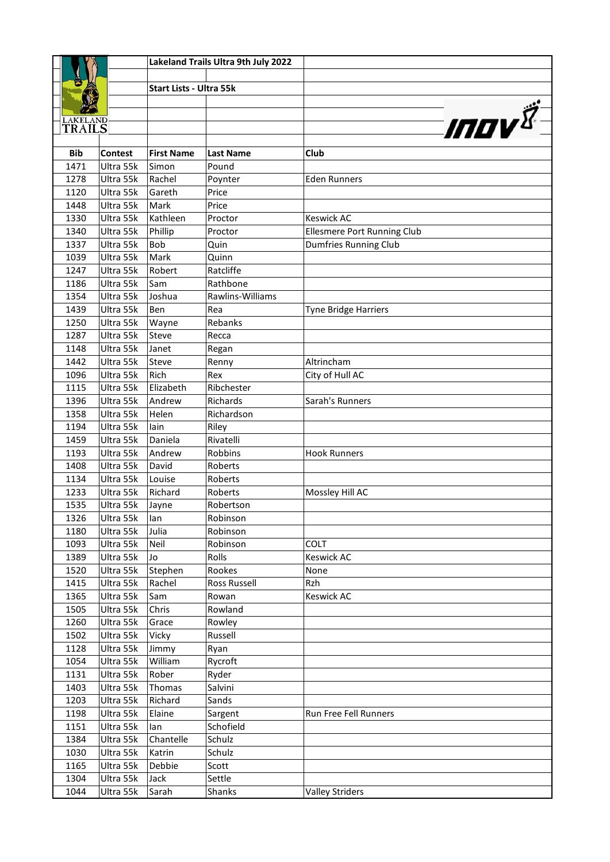| <b>Start Lists - Ultra 55k</b><br><b>INOV</b><br><b>LAKELAND</b><br>TRAILS<br><b>Bib</b><br><b>Contest</b><br><b>First Name</b><br>Club<br><b>Last Name</b><br>1471<br>Ultra 55k<br>Simon<br>Pound<br>Ultra 55k<br>1278<br>Rachel<br><b>Eden Runners</b><br>Poynter<br>1120<br>Ultra 55k<br>Gareth<br>Price<br>Ultra 55k<br>1448<br>Mark<br>Price<br>1330<br>Ultra 55k<br>Kathleen<br><b>Keswick AC</b><br>Proctor<br>Ellesmere Port Running Club<br>1340<br>Ultra 55k<br>Phillip<br>Proctor<br>1337<br>Ultra 55k<br>Bob<br><b>Dumfries Running Club</b><br>Quin<br>1039<br>Ultra 55k<br>Mark<br>Quinn<br>Ultra 55k<br>Robert<br>Ratcliffe<br>1247<br>1186<br>Ultra 55k<br>Rathbone<br>Sam<br>1354<br>Ultra 55k<br>Rawlins-Williams<br>Joshua<br>1439<br>Ultra 55k<br>Ben<br>Rea<br>Tyne Bridge Harriers<br>1250<br>Ultra 55k<br>Rebanks<br>Wayne<br>1287<br>Ultra 55k<br>Steve<br>Recca<br>Ultra 55k<br>1148<br>Janet<br>Regan<br>Ultra 55k<br>Altrincham<br>1442<br>Steve<br>Renny<br>Ultra 55k<br>Rich<br>1096<br>Rex<br>City of Hull AC<br>1115<br>Ultra 55k<br>Elizabeth<br>Ribchester<br>1396<br>Ultra 55k<br>Andrew<br>Sarah's Runners<br><b>Richards</b><br>1358<br>Ultra 55k<br>Helen<br>Richardson<br>1194<br>Ultra 55k<br>Riley<br>lain<br>1459<br>Ultra 55k<br>Rivatelli<br>Daniela<br>1193<br>Ultra 55k<br>Andrew<br>Robbins<br><b>Hook Runners</b><br>1408<br>Ultra 55k<br>David<br>Roberts<br>1134<br>Ultra 55k<br>Louise<br>Roberts<br>1233<br>Ultra 55k<br>Richard<br>Mossley Hill AC<br>Roberts<br>1535<br>Ultra 55k<br>Robertson<br>Jayne<br>Robinson<br>1326<br>Ultra 55k<br>lan<br>1180<br>Ultra 55k<br>Julia<br>Robinson<br>1093<br>Ultra 55k<br>Robinson<br>COLT<br>Neil<br>1389<br>Rolls<br>Ultra 55k<br><b>Keswick AC</b><br>Jo<br>1520<br>Ultra 55k<br>Stephen<br>Rookes<br>None<br>Rachel<br>Rzh<br>1415<br>Ultra 55k<br>Ross Russell<br>1365<br>Sam<br><b>Keswick AC</b><br>Ultra 55k<br>Rowan<br>1505<br>Ultra 55k<br>Chris<br>Rowland<br>1260<br>Ultra 55k<br>Grace<br>Rowley<br>1502<br>Ultra 55k<br>Russell<br>Vicky<br>1128<br>Ultra 55k<br>Ryan<br>Jimmy<br>William<br>1054<br>Ultra 55k<br>Rycroft<br>Ultra 55k<br>Rober<br>1131<br>Ryder<br>Ultra 55k<br>Salvini<br>1403<br>Thomas<br>1203<br>Ultra 55k<br>Richard<br>Sands<br>1198<br>Ultra 55k<br>Elaine<br>Run Free Fell Runners<br>Sargent |      |           |     | Lakeland Trails Ultra 9th July 2022 |  |
|------------------------------------------------------------------------------------------------------------------------------------------------------------------------------------------------------------------------------------------------------------------------------------------------------------------------------------------------------------------------------------------------------------------------------------------------------------------------------------------------------------------------------------------------------------------------------------------------------------------------------------------------------------------------------------------------------------------------------------------------------------------------------------------------------------------------------------------------------------------------------------------------------------------------------------------------------------------------------------------------------------------------------------------------------------------------------------------------------------------------------------------------------------------------------------------------------------------------------------------------------------------------------------------------------------------------------------------------------------------------------------------------------------------------------------------------------------------------------------------------------------------------------------------------------------------------------------------------------------------------------------------------------------------------------------------------------------------------------------------------------------------------------------------------------------------------------------------------------------------------------------------------------------------------------------------------------------------------------------------------------------------------------------------------------------------------------------------------------------------------------------------------------------------------------------------------------------------------------------------------------------------------------------------------------------------------------------|------|-----------|-----|-------------------------------------|--|
|                                                                                                                                                                                                                                                                                                                                                                                                                                                                                                                                                                                                                                                                                                                                                                                                                                                                                                                                                                                                                                                                                                                                                                                                                                                                                                                                                                                                                                                                                                                                                                                                                                                                                                                                                                                                                                                                                                                                                                                                                                                                                                                                                                                                                                                                                                                                    |      |           |     |                                     |  |
|                                                                                                                                                                                                                                                                                                                                                                                                                                                                                                                                                                                                                                                                                                                                                                                                                                                                                                                                                                                                                                                                                                                                                                                                                                                                                                                                                                                                                                                                                                                                                                                                                                                                                                                                                                                                                                                                                                                                                                                                                                                                                                                                                                                                                                                                                                                                    |      |           |     |                                     |  |
|                                                                                                                                                                                                                                                                                                                                                                                                                                                                                                                                                                                                                                                                                                                                                                                                                                                                                                                                                                                                                                                                                                                                                                                                                                                                                                                                                                                                                                                                                                                                                                                                                                                                                                                                                                                                                                                                                                                                                                                                                                                                                                                                                                                                                                                                                                                                    |      |           |     |                                     |  |
|                                                                                                                                                                                                                                                                                                                                                                                                                                                                                                                                                                                                                                                                                                                                                                                                                                                                                                                                                                                                                                                                                                                                                                                                                                                                                                                                                                                                                                                                                                                                                                                                                                                                                                                                                                                                                                                                                                                                                                                                                                                                                                                                                                                                                                                                                                                                    |      |           |     |                                     |  |
|                                                                                                                                                                                                                                                                                                                                                                                                                                                                                                                                                                                                                                                                                                                                                                                                                                                                                                                                                                                                                                                                                                                                                                                                                                                                                                                                                                                                                                                                                                                                                                                                                                                                                                                                                                                                                                                                                                                                                                                                                                                                                                                                                                                                                                                                                                                                    |      |           |     |                                     |  |
|                                                                                                                                                                                                                                                                                                                                                                                                                                                                                                                                                                                                                                                                                                                                                                                                                                                                                                                                                                                                                                                                                                                                                                                                                                                                                                                                                                                                                                                                                                                                                                                                                                                                                                                                                                                                                                                                                                                                                                                                                                                                                                                                                                                                                                                                                                                                    |      |           |     |                                     |  |
|                                                                                                                                                                                                                                                                                                                                                                                                                                                                                                                                                                                                                                                                                                                                                                                                                                                                                                                                                                                                                                                                                                                                                                                                                                                                                                                                                                                                                                                                                                                                                                                                                                                                                                                                                                                                                                                                                                                                                                                                                                                                                                                                                                                                                                                                                                                                    |      |           |     |                                     |  |
|                                                                                                                                                                                                                                                                                                                                                                                                                                                                                                                                                                                                                                                                                                                                                                                                                                                                                                                                                                                                                                                                                                                                                                                                                                                                                                                                                                                                                                                                                                                                                                                                                                                                                                                                                                                                                                                                                                                                                                                                                                                                                                                                                                                                                                                                                                                                    |      |           |     |                                     |  |
|                                                                                                                                                                                                                                                                                                                                                                                                                                                                                                                                                                                                                                                                                                                                                                                                                                                                                                                                                                                                                                                                                                                                                                                                                                                                                                                                                                                                                                                                                                                                                                                                                                                                                                                                                                                                                                                                                                                                                                                                                                                                                                                                                                                                                                                                                                                                    |      |           |     |                                     |  |
|                                                                                                                                                                                                                                                                                                                                                                                                                                                                                                                                                                                                                                                                                                                                                                                                                                                                                                                                                                                                                                                                                                                                                                                                                                                                                                                                                                                                                                                                                                                                                                                                                                                                                                                                                                                                                                                                                                                                                                                                                                                                                                                                                                                                                                                                                                                                    |      |           |     |                                     |  |
|                                                                                                                                                                                                                                                                                                                                                                                                                                                                                                                                                                                                                                                                                                                                                                                                                                                                                                                                                                                                                                                                                                                                                                                                                                                                                                                                                                                                                                                                                                                                                                                                                                                                                                                                                                                                                                                                                                                                                                                                                                                                                                                                                                                                                                                                                                                                    |      |           |     |                                     |  |
|                                                                                                                                                                                                                                                                                                                                                                                                                                                                                                                                                                                                                                                                                                                                                                                                                                                                                                                                                                                                                                                                                                                                                                                                                                                                                                                                                                                                                                                                                                                                                                                                                                                                                                                                                                                                                                                                                                                                                                                                                                                                                                                                                                                                                                                                                                                                    |      |           |     |                                     |  |
|                                                                                                                                                                                                                                                                                                                                                                                                                                                                                                                                                                                                                                                                                                                                                                                                                                                                                                                                                                                                                                                                                                                                                                                                                                                                                                                                                                                                                                                                                                                                                                                                                                                                                                                                                                                                                                                                                                                                                                                                                                                                                                                                                                                                                                                                                                                                    |      |           |     |                                     |  |
|                                                                                                                                                                                                                                                                                                                                                                                                                                                                                                                                                                                                                                                                                                                                                                                                                                                                                                                                                                                                                                                                                                                                                                                                                                                                                                                                                                                                                                                                                                                                                                                                                                                                                                                                                                                                                                                                                                                                                                                                                                                                                                                                                                                                                                                                                                                                    |      |           |     |                                     |  |
|                                                                                                                                                                                                                                                                                                                                                                                                                                                                                                                                                                                                                                                                                                                                                                                                                                                                                                                                                                                                                                                                                                                                                                                                                                                                                                                                                                                                                                                                                                                                                                                                                                                                                                                                                                                                                                                                                                                                                                                                                                                                                                                                                                                                                                                                                                                                    |      |           |     |                                     |  |
|                                                                                                                                                                                                                                                                                                                                                                                                                                                                                                                                                                                                                                                                                                                                                                                                                                                                                                                                                                                                                                                                                                                                                                                                                                                                                                                                                                                                                                                                                                                                                                                                                                                                                                                                                                                                                                                                                                                                                                                                                                                                                                                                                                                                                                                                                                                                    |      |           |     |                                     |  |
|                                                                                                                                                                                                                                                                                                                                                                                                                                                                                                                                                                                                                                                                                                                                                                                                                                                                                                                                                                                                                                                                                                                                                                                                                                                                                                                                                                                                                                                                                                                                                                                                                                                                                                                                                                                                                                                                                                                                                                                                                                                                                                                                                                                                                                                                                                                                    |      |           |     |                                     |  |
|                                                                                                                                                                                                                                                                                                                                                                                                                                                                                                                                                                                                                                                                                                                                                                                                                                                                                                                                                                                                                                                                                                                                                                                                                                                                                                                                                                                                                                                                                                                                                                                                                                                                                                                                                                                                                                                                                                                                                                                                                                                                                                                                                                                                                                                                                                                                    |      |           |     |                                     |  |
|                                                                                                                                                                                                                                                                                                                                                                                                                                                                                                                                                                                                                                                                                                                                                                                                                                                                                                                                                                                                                                                                                                                                                                                                                                                                                                                                                                                                                                                                                                                                                                                                                                                                                                                                                                                                                                                                                                                                                                                                                                                                                                                                                                                                                                                                                                                                    |      |           |     |                                     |  |
|                                                                                                                                                                                                                                                                                                                                                                                                                                                                                                                                                                                                                                                                                                                                                                                                                                                                                                                                                                                                                                                                                                                                                                                                                                                                                                                                                                                                                                                                                                                                                                                                                                                                                                                                                                                                                                                                                                                                                                                                                                                                                                                                                                                                                                                                                                                                    |      |           |     |                                     |  |
|                                                                                                                                                                                                                                                                                                                                                                                                                                                                                                                                                                                                                                                                                                                                                                                                                                                                                                                                                                                                                                                                                                                                                                                                                                                                                                                                                                                                                                                                                                                                                                                                                                                                                                                                                                                                                                                                                                                                                                                                                                                                                                                                                                                                                                                                                                                                    |      |           |     |                                     |  |
|                                                                                                                                                                                                                                                                                                                                                                                                                                                                                                                                                                                                                                                                                                                                                                                                                                                                                                                                                                                                                                                                                                                                                                                                                                                                                                                                                                                                                                                                                                                                                                                                                                                                                                                                                                                                                                                                                                                                                                                                                                                                                                                                                                                                                                                                                                                                    |      |           |     |                                     |  |
|                                                                                                                                                                                                                                                                                                                                                                                                                                                                                                                                                                                                                                                                                                                                                                                                                                                                                                                                                                                                                                                                                                                                                                                                                                                                                                                                                                                                                                                                                                                                                                                                                                                                                                                                                                                                                                                                                                                                                                                                                                                                                                                                                                                                                                                                                                                                    |      |           |     |                                     |  |
|                                                                                                                                                                                                                                                                                                                                                                                                                                                                                                                                                                                                                                                                                                                                                                                                                                                                                                                                                                                                                                                                                                                                                                                                                                                                                                                                                                                                                                                                                                                                                                                                                                                                                                                                                                                                                                                                                                                                                                                                                                                                                                                                                                                                                                                                                                                                    |      |           |     |                                     |  |
|                                                                                                                                                                                                                                                                                                                                                                                                                                                                                                                                                                                                                                                                                                                                                                                                                                                                                                                                                                                                                                                                                                                                                                                                                                                                                                                                                                                                                                                                                                                                                                                                                                                                                                                                                                                                                                                                                                                                                                                                                                                                                                                                                                                                                                                                                                                                    |      |           |     |                                     |  |
|                                                                                                                                                                                                                                                                                                                                                                                                                                                                                                                                                                                                                                                                                                                                                                                                                                                                                                                                                                                                                                                                                                                                                                                                                                                                                                                                                                                                                                                                                                                                                                                                                                                                                                                                                                                                                                                                                                                                                                                                                                                                                                                                                                                                                                                                                                                                    |      |           |     |                                     |  |
|                                                                                                                                                                                                                                                                                                                                                                                                                                                                                                                                                                                                                                                                                                                                                                                                                                                                                                                                                                                                                                                                                                                                                                                                                                                                                                                                                                                                                                                                                                                                                                                                                                                                                                                                                                                                                                                                                                                                                                                                                                                                                                                                                                                                                                                                                                                                    |      |           |     |                                     |  |
|                                                                                                                                                                                                                                                                                                                                                                                                                                                                                                                                                                                                                                                                                                                                                                                                                                                                                                                                                                                                                                                                                                                                                                                                                                                                                                                                                                                                                                                                                                                                                                                                                                                                                                                                                                                                                                                                                                                                                                                                                                                                                                                                                                                                                                                                                                                                    |      |           |     |                                     |  |
|                                                                                                                                                                                                                                                                                                                                                                                                                                                                                                                                                                                                                                                                                                                                                                                                                                                                                                                                                                                                                                                                                                                                                                                                                                                                                                                                                                                                                                                                                                                                                                                                                                                                                                                                                                                                                                                                                                                                                                                                                                                                                                                                                                                                                                                                                                                                    |      |           |     |                                     |  |
|                                                                                                                                                                                                                                                                                                                                                                                                                                                                                                                                                                                                                                                                                                                                                                                                                                                                                                                                                                                                                                                                                                                                                                                                                                                                                                                                                                                                                                                                                                                                                                                                                                                                                                                                                                                                                                                                                                                                                                                                                                                                                                                                                                                                                                                                                                                                    |      |           |     |                                     |  |
|                                                                                                                                                                                                                                                                                                                                                                                                                                                                                                                                                                                                                                                                                                                                                                                                                                                                                                                                                                                                                                                                                                                                                                                                                                                                                                                                                                                                                                                                                                                                                                                                                                                                                                                                                                                                                                                                                                                                                                                                                                                                                                                                                                                                                                                                                                                                    |      |           |     |                                     |  |
|                                                                                                                                                                                                                                                                                                                                                                                                                                                                                                                                                                                                                                                                                                                                                                                                                                                                                                                                                                                                                                                                                                                                                                                                                                                                                                                                                                                                                                                                                                                                                                                                                                                                                                                                                                                                                                                                                                                                                                                                                                                                                                                                                                                                                                                                                                                                    |      |           |     |                                     |  |
|                                                                                                                                                                                                                                                                                                                                                                                                                                                                                                                                                                                                                                                                                                                                                                                                                                                                                                                                                                                                                                                                                                                                                                                                                                                                                                                                                                                                                                                                                                                                                                                                                                                                                                                                                                                                                                                                                                                                                                                                                                                                                                                                                                                                                                                                                                                                    |      |           |     |                                     |  |
|                                                                                                                                                                                                                                                                                                                                                                                                                                                                                                                                                                                                                                                                                                                                                                                                                                                                                                                                                                                                                                                                                                                                                                                                                                                                                                                                                                                                                                                                                                                                                                                                                                                                                                                                                                                                                                                                                                                                                                                                                                                                                                                                                                                                                                                                                                                                    |      |           |     |                                     |  |
|                                                                                                                                                                                                                                                                                                                                                                                                                                                                                                                                                                                                                                                                                                                                                                                                                                                                                                                                                                                                                                                                                                                                                                                                                                                                                                                                                                                                                                                                                                                                                                                                                                                                                                                                                                                                                                                                                                                                                                                                                                                                                                                                                                                                                                                                                                                                    |      |           |     |                                     |  |
|                                                                                                                                                                                                                                                                                                                                                                                                                                                                                                                                                                                                                                                                                                                                                                                                                                                                                                                                                                                                                                                                                                                                                                                                                                                                                                                                                                                                                                                                                                                                                                                                                                                                                                                                                                                                                                                                                                                                                                                                                                                                                                                                                                                                                                                                                                                                    |      |           |     |                                     |  |
|                                                                                                                                                                                                                                                                                                                                                                                                                                                                                                                                                                                                                                                                                                                                                                                                                                                                                                                                                                                                                                                                                                                                                                                                                                                                                                                                                                                                                                                                                                                                                                                                                                                                                                                                                                                                                                                                                                                                                                                                                                                                                                                                                                                                                                                                                                                                    |      |           |     |                                     |  |
|                                                                                                                                                                                                                                                                                                                                                                                                                                                                                                                                                                                                                                                                                                                                                                                                                                                                                                                                                                                                                                                                                                                                                                                                                                                                                                                                                                                                                                                                                                                                                                                                                                                                                                                                                                                                                                                                                                                                                                                                                                                                                                                                                                                                                                                                                                                                    |      |           |     |                                     |  |
|                                                                                                                                                                                                                                                                                                                                                                                                                                                                                                                                                                                                                                                                                                                                                                                                                                                                                                                                                                                                                                                                                                                                                                                                                                                                                                                                                                                                                                                                                                                                                                                                                                                                                                                                                                                                                                                                                                                                                                                                                                                                                                                                                                                                                                                                                                                                    |      |           |     |                                     |  |
|                                                                                                                                                                                                                                                                                                                                                                                                                                                                                                                                                                                                                                                                                                                                                                                                                                                                                                                                                                                                                                                                                                                                                                                                                                                                                                                                                                                                                                                                                                                                                                                                                                                                                                                                                                                                                                                                                                                                                                                                                                                                                                                                                                                                                                                                                                                                    |      |           |     |                                     |  |
|                                                                                                                                                                                                                                                                                                                                                                                                                                                                                                                                                                                                                                                                                                                                                                                                                                                                                                                                                                                                                                                                                                                                                                                                                                                                                                                                                                                                                                                                                                                                                                                                                                                                                                                                                                                                                                                                                                                                                                                                                                                                                                                                                                                                                                                                                                                                    |      |           |     |                                     |  |
|                                                                                                                                                                                                                                                                                                                                                                                                                                                                                                                                                                                                                                                                                                                                                                                                                                                                                                                                                                                                                                                                                                                                                                                                                                                                                                                                                                                                                                                                                                                                                                                                                                                                                                                                                                                                                                                                                                                                                                                                                                                                                                                                                                                                                                                                                                                                    |      |           |     |                                     |  |
|                                                                                                                                                                                                                                                                                                                                                                                                                                                                                                                                                                                                                                                                                                                                                                                                                                                                                                                                                                                                                                                                                                                                                                                                                                                                                                                                                                                                                                                                                                                                                                                                                                                                                                                                                                                                                                                                                                                                                                                                                                                                                                                                                                                                                                                                                                                                    |      |           |     |                                     |  |
|                                                                                                                                                                                                                                                                                                                                                                                                                                                                                                                                                                                                                                                                                                                                                                                                                                                                                                                                                                                                                                                                                                                                                                                                                                                                                                                                                                                                                                                                                                                                                                                                                                                                                                                                                                                                                                                                                                                                                                                                                                                                                                                                                                                                                                                                                                                                    |      |           |     |                                     |  |
|                                                                                                                                                                                                                                                                                                                                                                                                                                                                                                                                                                                                                                                                                                                                                                                                                                                                                                                                                                                                                                                                                                                                                                                                                                                                                                                                                                                                                                                                                                                                                                                                                                                                                                                                                                                                                                                                                                                                                                                                                                                                                                                                                                                                                                                                                                                                    |      |           |     |                                     |  |
|                                                                                                                                                                                                                                                                                                                                                                                                                                                                                                                                                                                                                                                                                                                                                                                                                                                                                                                                                                                                                                                                                                                                                                                                                                                                                                                                                                                                                                                                                                                                                                                                                                                                                                                                                                                                                                                                                                                                                                                                                                                                                                                                                                                                                                                                                                                                    |      |           |     |                                     |  |
|                                                                                                                                                                                                                                                                                                                                                                                                                                                                                                                                                                                                                                                                                                                                                                                                                                                                                                                                                                                                                                                                                                                                                                                                                                                                                                                                                                                                                                                                                                                                                                                                                                                                                                                                                                                                                                                                                                                                                                                                                                                                                                                                                                                                                                                                                                                                    |      |           |     |                                     |  |
|                                                                                                                                                                                                                                                                                                                                                                                                                                                                                                                                                                                                                                                                                                                                                                                                                                                                                                                                                                                                                                                                                                                                                                                                                                                                                                                                                                                                                                                                                                                                                                                                                                                                                                                                                                                                                                                                                                                                                                                                                                                                                                                                                                                                                                                                                                                                    |      |           |     |                                     |  |
|                                                                                                                                                                                                                                                                                                                                                                                                                                                                                                                                                                                                                                                                                                                                                                                                                                                                                                                                                                                                                                                                                                                                                                                                                                                                                                                                                                                                                                                                                                                                                                                                                                                                                                                                                                                                                                                                                                                                                                                                                                                                                                                                                                                                                                                                                                                                    | 1151 | Ultra 55k | lan | Schofield                           |  |
| 1384<br>Ultra 55k<br>Chantelle<br>Schulz                                                                                                                                                                                                                                                                                                                                                                                                                                                                                                                                                                                                                                                                                                                                                                                                                                                                                                                                                                                                                                                                                                                                                                                                                                                                                                                                                                                                                                                                                                                                                                                                                                                                                                                                                                                                                                                                                                                                                                                                                                                                                                                                                                                                                                                                                           |      |           |     |                                     |  |
| 1030<br>Ultra 55k<br>Katrin<br>Schulz                                                                                                                                                                                                                                                                                                                                                                                                                                                                                                                                                                                                                                                                                                                                                                                                                                                                                                                                                                                                                                                                                                                                                                                                                                                                                                                                                                                                                                                                                                                                                                                                                                                                                                                                                                                                                                                                                                                                                                                                                                                                                                                                                                                                                                                                                              |      |           |     |                                     |  |
| 1165<br>Ultra 55k<br>Debbie<br>Scott                                                                                                                                                                                                                                                                                                                                                                                                                                                                                                                                                                                                                                                                                                                                                                                                                                                                                                                                                                                                                                                                                                                                                                                                                                                                                                                                                                                                                                                                                                                                                                                                                                                                                                                                                                                                                                                                                                                                                                                                                                                                                                                                                                                                                                                                                               |      |           |     |                                     |  |
| 1304<br>Ultra 55k<br>Jack<br>Settle                                                                                                                                                                                                                                                                                                                                                                                                                                                                                                                                                                                                                                                                                                                                                                                                                                                                                                                                                                                                                                                                                                                                                                                                                                                                                                                                                                                                                                                                                                                                                                                                                                                                                                                                                                                                                                                                                                                                                                                                                                                                                                                                                                                                                                                                                                |      |           |     |                                     |  |
| Ultra 55k<br>1044<br>Sarah<br>Shanks<br><b>Valley Striders</b>                                                                                                                                                                                                                                                                                                                                                                                                                                                                                                                                                                                                                                                                                                                                                                                                                                                                                                                                                                                                                                                                                                                                                                                                                                                                                                                                                                                                                                                                                                                                                                                                                                                                                                                                                                                                                                                                                                                                                                                                                                                                                                                                                                                                                                                                     |      |           |     |                                     |  |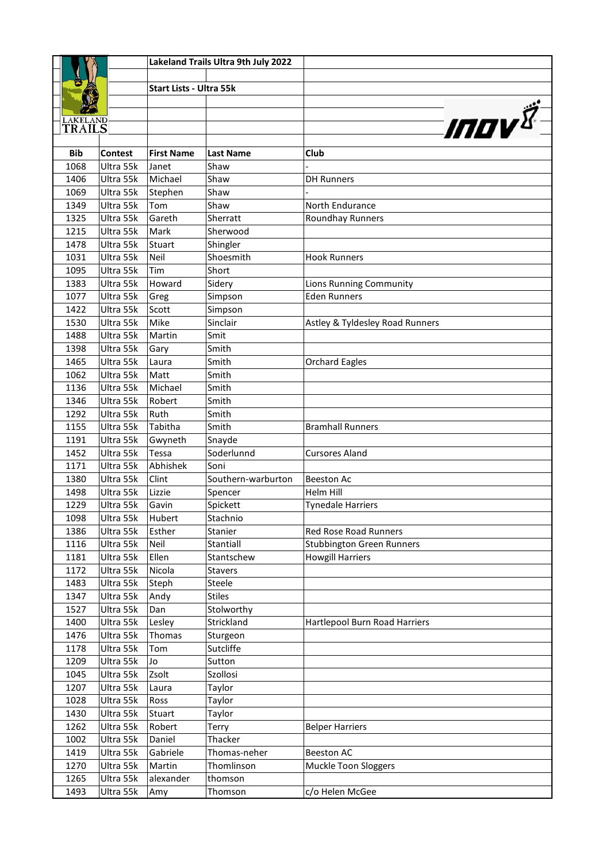|                           |                        |                                | Lakeland Trails Ultra 9th July 2022 |                                  |
|---------------------------|------------------------|--------------------------------|-------------------------------------|----------------------------------|
|                           |                        |                                |                                     |                                  |
|                           |                        | <b>Start Lists - Ultra 55k</b> |                                     |                                  |
|                           |                        |                                |                                     |                                  |
|                           |                        |                                |                                     | <b>INDV</b>                      |
| <b>LAKELAND</b><br>TRAILS |                        |                                |                                     |                                  |
|                           |                        |                                |                                     |                                  |
| <b>Bib</b>                | <b>Contest</b>         | <b>First Name</b>              | <b>Last Name</b>                    | Club                             |
| 1068                      | Ultra 55k              | Janet                          | Shaw                                |                                  |
| 1406                      | Ultra 55k              | Michael                        | Shaw                                | <b>DH Runners</b>                |
| 1069                      | Ultra 55k              | Stephen                        | Shaw                                |                                  |
| 1349                      | Ultra 55k              | Tom                            | Shaw                                | North Endurance                  |
| 1325                      | Ultra 55k              | Gareth                         | Sherratt                            | Roundhay Runners                 |
| 1215                      | Ultra 55k              | Mark                           | Sherwood                            |                                  |
| 1478                      | Ultra 55k              | Stuart                         | Shingler                            |                                  |
| 1031                      | Ultra 55k              | Neil                           | Shoesmith                           | <b>Hook Runners</b>              |
| 1095                      | Ultra 55k              | Tim                            | Short                               |                                  |
| 1383                      | Ultra 55k              | Howard                         | Sidery                              | Lions Running Community          |
| 1077                      | Ultra 55k              | Greg                           | Simpson                             | <b>Eden Runners</b>              |
| 1422                      | Ultra 55k              | Scott                          | Simpson                             |                                  |
| 1530                      | Ultra 55k              | Mike                           | Sinclair                            | Astley & Tyldesley Road Runners  |
| 1488                      | Ultra 55k              | Martin                         | Smit                                |                                  |
| 1398                      | Ultra 55k              | Gary                           | Smith                               |                                  |
| 1465                      | Ultra 55k              | Laura                          | Smith                               | <b>Orchard Eagles</b>            |
| 1062                      | Ultra 55k              | Matt                           | Smith                               |                                  |
| 1136                      | Ultra 55k              | Michael                        | Smith                               |                                  |
| 1346                      | Ultra 55k              | Robert                         | Smith                               |                                  |
| 1292                      | Ultra 55k              | Ruth                           | Smith                               |                                  |
| 1155                      | Ultra 55k              | Tabitha                        | Smith                               | <b>Bramhall Runners</b>          |
| 1191                      | Ultra 55k              | Gwyneth                        | Snayde                              |                                  |
| 1452                      | Ultra 55k              | Tessa                          | Soderlunnd                          | <b>Cursores Aland</b>            |
| 1171                      | Ultra 55k              | Abhishek                       | Soni                                |                                  |
| 1380                      | Ultra 55k              | Clint                          | Southern-warburton                  | <b>Beeston Ac</b>                |
| 1498                      | Ultra 55k              | Lizzie                         | Spencer                             | <b>Helm Hill</b>                 |
| 1229                      | Ultra 55k              | Gavin                          | Spickett                            | Tynedale Harriers                |
| 1098                      | Ultra 55k              | Hubert                         | Stachnio                            |                                  |
| 1386                      | Ultra 55k              | Esther                         | Stanier                             | Red Rose Road Runners            |
| 1116                      | Ultra 55k              | Neil                           | Stantiall                           | <b>Stubbington Green Runners</b> |
| 1181                      | Ultra 55k              | Ellen                          | Stantschew                          | <b>Howgill Harriers</b>          |
| 1172<br>1483              | Ultra 55k<br>Ultra 55k | Nicola                         | <b>Stavers</b><br>Steele            |                                  |
| 1347                      | Ultra 55k              | Steph<br>Andy                  | <b>Stiles</b>                       |                                  |
| 1527                      | Ultra 55k              | Dan                            | Stolworthy                          |                                  |
| 1400                      | Ultra 55k              | Lesley                         | Strickland                          | Hartlepool Burn Road Harriers    |
| 1476                      | Ultra 55k              | Thomas                         | Sturgeon                            |                                  |
| 1178                      | Ultra 55k              | Tom                            | Sutcliffe                           |                                  |
| 1209                      | Ultra 55k              | Jo                             | Sutton                              |                                  |
| 1045                      | Ultra 55k              | Zsolt                          | Szollosi                            |                                  |
| 1207                      | Ultra 55k              | Laura                          | Taylor                              |                                  |
| 1028                      | Ultra 55k              | Ross                           | Taylor                              |                                  |
| 1430                      | Ultra 55k              | Stuart                         | Taylor                              |                                  |
| 1262                      | Ultra 55k              | Robert                         | Terry                               | <b>Belper Harriers</b>           |
| 1002                      | Ultra 55k              | Daniel                         | Thacker                             |                                  |
| 1419                      | Ultra 55k              | Gabriele                       | Thomas-neher                        | <b>Beeston AC</b>                |
| 1270                      | Ultra 55k              | Martin                         | Thomlinson                          | Muckle Toon Sloggers             |
| 1265                      | Ultra 55k              | alexander                      | thomson                             |                                  |
| 1493                      | Ultra 55k              | Amy                            | Thomson                             | c/o Helen McGee                  |